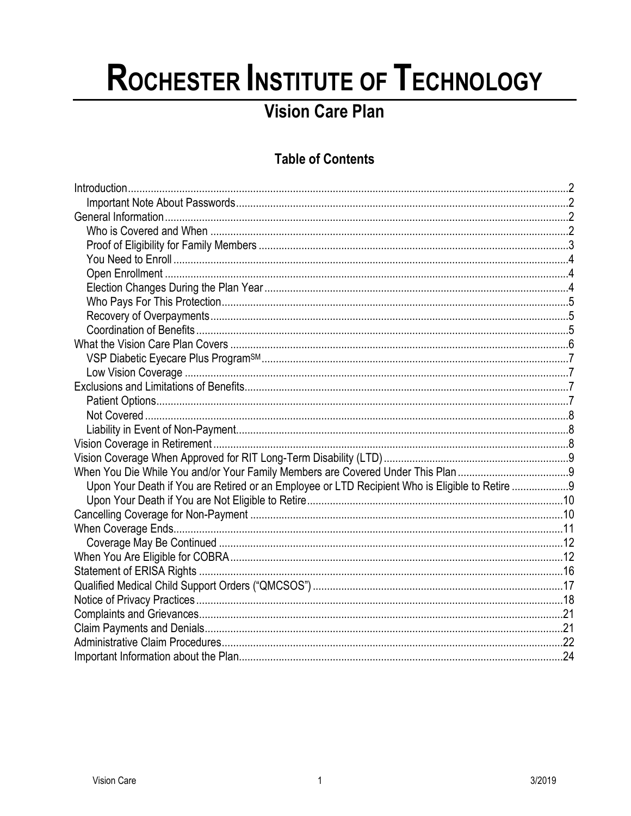# ROCHESTER INSTITUTE OF TECHNOLOGY

# **Vision Care Plan**

# **Table of Contents**

| Upon Your Death if You are Retired or an Employee or LTD Recipient Who is Eligible to Retire 9 |  |  |
|------------------------------------------------------------------------------------------------|--|--|
|                                                                                                |  |  |
|                                                                                                |  |  |
|                                                                                                |  |  |
|                                                                                                |  |  |
|                                                                                                |  |  |
|                                                                                                |  |  |
|                                                                                                |  |  |
|                                                                                                |  |  |
|                                                                                                |  |  |
|                                                                                                |  |  |
|                                                                                                |  |  |
|                                                                                                |  |  |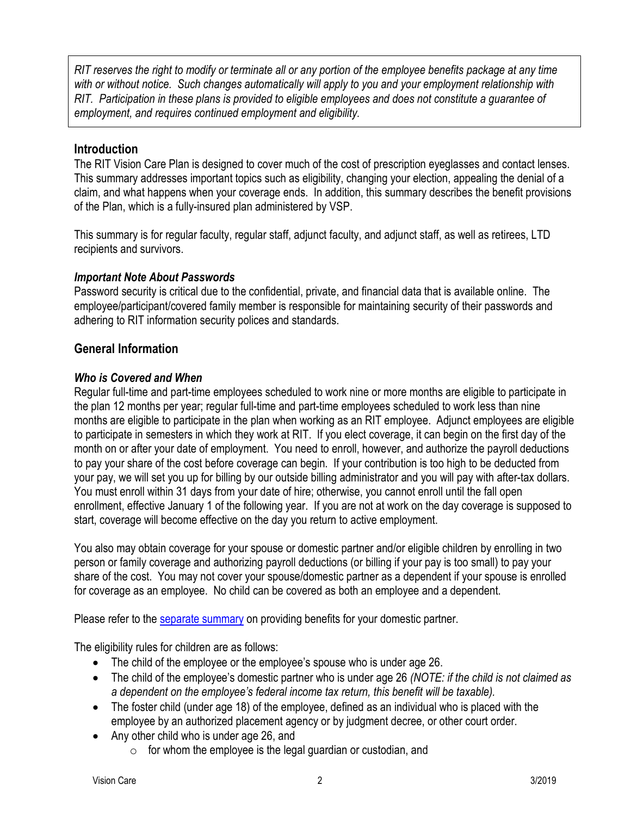*RIT reserves the right to modify or terminate all or any portion of the employee benefits package at any time with or without notice. Such changes automatically will apply to you and your employment relationship with RIT. Participation in these plans is provided to eligible employees and does not constitute a guarantee of employment, and requires continued employment and eligibility.*

# <span id="page-1-0"></span>**Introduction**

The RIT Vision Care Plan is designed to cover much of the cost of prescription eyeglasses and contact lenses. This summary addresses important topics such as eligibility, changing your election, appealing the denial of a claim, and what happens when your coverage ends. In addition, this summary describes the benefit provisions of the Plan, which is a fully-insured plan administered by VSP.

This summary is for regular faculty, regular staff, adjunct faculty, and adjunct staff, as well as retirees, LTD recipients and survivors.

# <span id="page-1-1"></span>*Important Note About Passwords*

Password security is critical due to the confidential, private, and financial data that is available online. The employee/participant/covered family member is responsible for maintaining security of their passwords and adhering to RIT information security polices and standards.

# <span id="page-1-2"></span>**General Information**

# <span id="page-1-3"></span>*Who is Covered and When*

Regular full-time and part-time employees scheduled to work nine or more months are eligible to participate in the plan 12 months per year; regular full-time and part-time employees scheduled to work less than nine months are eligible to participate in the plan when working as an RIT employee. Adjunct employees are eligible to participate in semesters in which they work at RIT. If you elect coverage, it can begin on the first day of the month on or after your date of employment. You need to enroll, however, and authorize the payroll deductions to pay your share of the cost before coverage can begin. If your contribution is too high to be deducted from your pay, we will set you up for billing by our outside billing administrator and you will pay with after-tax dollars. You must enroll within 31 days from your date of hire; otherwise, you cannot enroll until the fall open enrollment, effective January 1 of the following year. If you are not at work on the day coverage is supposed to start, coverage will become effective on the day you return to active employment.

You also may obtain coverage for your spouse or domestic partner and/or eligible children by enrolling in two person or family coverage and authorizing payroll deductions (or billing if your pay is too small) to pay your share of the cost. You may not cover your spouse/domestic partner as a dependent if your spouse is enrolled for coverage as an employee. No child can be covered as both an employee and a dependent.

Please refer to the [separate summary](https://www.rit.edu/fa/humanresources/content/covering-your-domestic-partner) on providing benefits for your domestic partner.

The eligibility rules for children are as follows:

- The child of the employee or the employee's spouse who is under age 26.
- The child of the employee's domestic partner who is under age 26 *(NOTE: if the child is not claimed as a dependent on the employee's federal income tax return, this benefit will be taxable).*
- The foster child (under age 18) of the employee, defined as an individual who is placed with the employee by an authorized placement agency or by judgment decree, or other court order.
- Any other child who is under age 26, and
	- $\circ$  for whom the employee is the legal guardian or custodian, and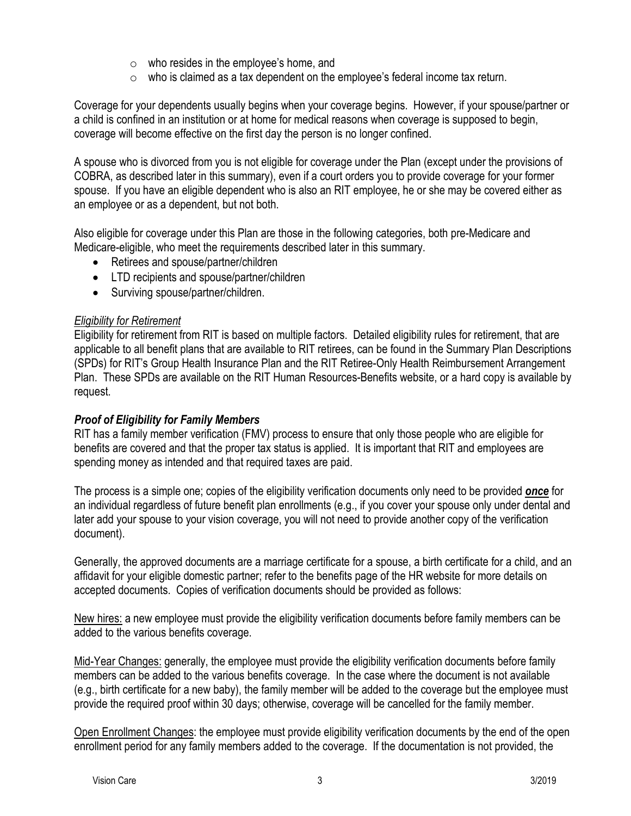- o who resides in the employee's home, and
- $\circ$  who is claimed as a tax dependent on the employee's federal income tax return.

Coverage for your dependents usually begins when your coverage begins. However, if your spouse/partner or a child is confined in an institution or at home for medical reasons when coverage is supposed to begin, coverage will become effective on the first day the person is no longer confined.

A spouse who is divorced from you is not eligible for coverage under the Plan (except under the provisions of COBRA, as described later in this summary), even if a court orders you to provide coverage for your former spouse. If you have an eligible dependent who is also an RIT employee, he or she may be covered either as an employee or as a dependent, but not both.

Also eligible for coverage under this Plan are those in the following categories, both pre-Medicare and Medicare-eligible, who meet the requirements described later in this summary.

- Retirees and spouse/partner/children
- LTD recipients and spouse/partner/children
- Surviving spouse/partner/children.

# *Eligibility for Retirement*

Eligibility for retirement from RIT is based on multiple factors. Detailed eligibility rules for retirement, that are applicable to all benefit plans that are available to RIT retirees, can be found in the Summary Plan Descriptions (SPDs) for RIT's Group Health Insurance Plan and the RIT Retiree-Only Health Reimbursement Arrangement Plan. These SPDs are available on the RIT Human Resources-Benefits website, or a hard copy is available by request.

# <span id="page-2-0"></span>*Proof of Eligibility for Family Members*

RIT has a family member verification (FMV) process to ensure that only those people who are eligible for benefits are covered and that the proper tax status is applied. It is important that RIT and employees are spending money as intended and that required taxes are paid.

The process is a simple one; copies of the eligibility verification documents only need to be provided *once* for an individual regardless of future benefit plan enrollments (e.g., if you cover your spouse only under dental and later add your spouse to your vision coverage, you will not need to provide another copy of the verification document).

Generally, the approved documents are a marriage certificate for a spouse, a birth certificate for a child, and an affidavit for your eligible domestic partner; refer to the benefits page of the HR website for more details on accepted documents. Copies of verification documents should be provided as follows:

New hires: a new employee must provide the eligibility verification documents before family members can be added to the various benefits coverage.

Mid-Year Changes: generally, the employee must provide the eligibility verification documents before family members can be added to the various benefits coverage. In the case where the document is not available (e.g., birth certificate for a new baby), the family member will be added to the coverage but the employee must provide the required proof within 30 days; otherwise, coverage will be cancelled for the family member.

Open Enrollment Changes: the employee must provide eligibility verification documents by the end of the open enrollment period for any family members added to the coverage. If the documentation is not provided, the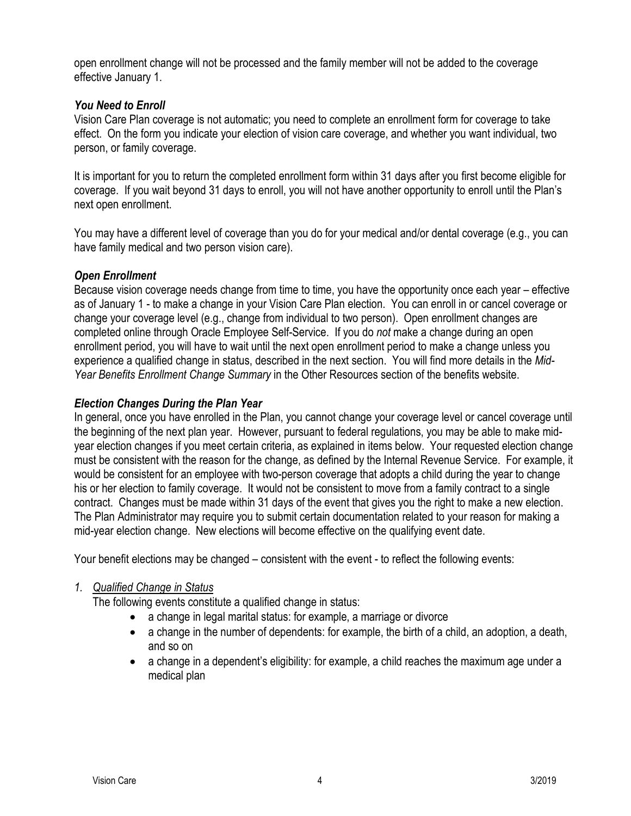open enrollment change will not be processed and the family member will not be added to the coverage effective January 1.

#### <span id="page-3-0"></span>*You Need to Enroll*

Vision Care Plan coverage is not automatic; you need to complete an enrollment form for coverage to take effect. On the form you indicate your election of vision care coverage, and whether you want individual, two person, or family coverage.

It is important for you to return the completed enrollment form within 31 days after you first become eligible for coverage. If you wait beyond 31 days to enroll, you will not have another opportunity to enroll until the Plan's next open enrollment.

You may have a different level of coverage than you do for your medical and/or dental coverage (e.g., you can have family medical and two person vision care).

# <span id="page-3-1"></span>*Open Enrollment*

Because vision coverage needs change from time to time, you have the opportunity once each year – effective as of January 1 - to make a change in your Vision Care Plan election. You can enroll in or cancel coverage or change your coverage level (e.g., change from individual to two person). Open enrollment changes are completed online through Oracle Employee Self-Service. If you do *not* make a change during an open enrollment period, you will have to wait until the next open enrollment period to make a change unless you experience a qualified change in status, described in the next section. You will find more details in the *Mid-Year Benefits Enrollment Change Summary* in the Other Resources section of the benefits website.

# <span id="page-3-2"></span>*Election Changes During the Plan Year*

In general, once you have enrolled in the Plan, you cannot change your coverage level or cancel coverage until the beginning of the next plan year. However, pursuant to federal regulations, you may be able to make midyear election changes if you meet certain criteria, as explained in items below. Your requested election change must be consistent with the reason for the change, as defined by the Internal Revenue Service. For example, it would be consistent for an employee with two-person coverage that adopts a child during the year to change his or her election to family coverage. It would not be consistent to move from a family contract to a single contract. Changes must be made within 31 days of the event that gives you the right to make a new election. The Plan Administrator may require you to submit certain documentation related to your reason for making a mid-year election change. New elections will become effective on the qualifying event date.

Your benefit elections may be changed – consistent with the event - to reflect the following events:

# *1. Qualified Change in Status*

The following events constitute a qualified change in status:

- a change in legal marital status: for example, a marriage or divorce
- a change in the number of dependents: for example, the birth of a child, an adoption, a death, and so on
- a change in a dependent's eligibility: for example, a child reaches the maximum age under a medical plan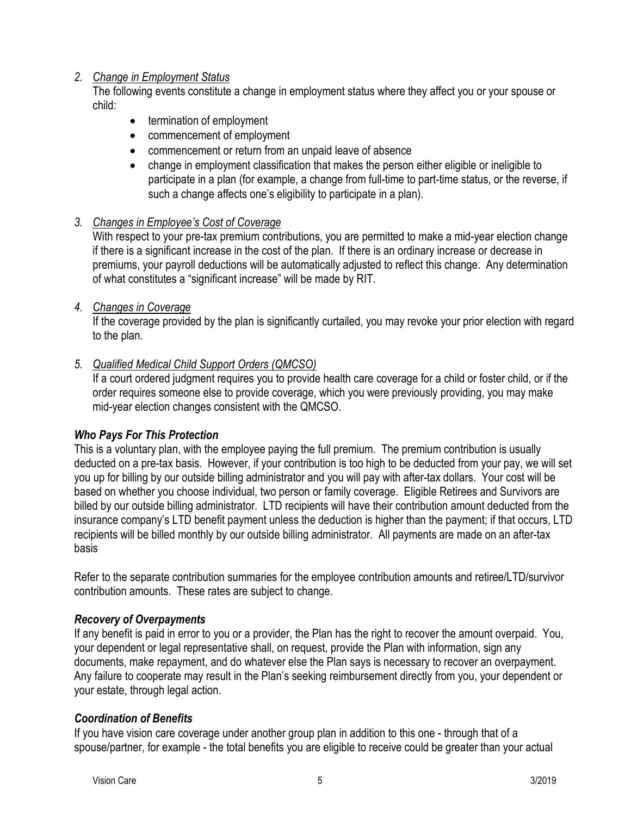# *2. Change in Employment Status*

The following events constitute a change in employment status where they affect you or your spouse or child:

- termination of employment
- commencement of employment
- commencement or return from an unpaid leave of absence
- change in employment classification that makes the person either eligible or ineligible to participate in a plan (for example, a change from full-time to part-time status, or the reverse, if such a change affects one's eligibility to participate in a plan).

# *3. Changes in Employee's Cost of Coverage*

With respect to your pre-tax premium contributions, you are permitted to make a mid-year election change if there is a significant increase in the cost of the plan. If there is an ordinary increase or decrease in premiums, your payroll deductions will be automatically adjusted to reflect this change. Any determination of what constitutes a "significant increase" will be made by RIT.

# *4. Changes in Coverage*

If the coverage provided by the plan is significantly curtailed, you may revoke your prior election with regard to the plan.

# *5. Qualified Medical Child Support Orders (QMCSO)*

If a court ordered judgment requires you to provide health care coverage for a child or foster child, or if the order requires someone else to provide coverage, which you were previously providing, you may make mid-year election changes consistent with the QMCSO.

# <span id="page-4-0"></span>*Who Pays For This Protection*

This is a voluntary plan, with the employee paying the full premium. The premium contribution is usually deducted on a pre-tax basis. However, if your contribution is too high to be deducted from your pay, we will set you up for billing by our outside billing administrator and you will pay with after-tax dollars. Your cost will be based on whether you choose individual, two person or family coverage. Eligible Retirees and Survivors are billed by our outside billing administrator. LTD recipients will have their contribution amount deducted from the insurance company's LTD benefit payment unless the deduction is higher than the payment; if that occurs, LTD recipients will be billed monthly by our outside billing administrator. All payments are made on an after-tax basis

Refer to the separate contribution summaries for the employee contribution amounts and retiree/LTD/survivor contribution amounts. These rates are subject to change.

# <span id="page-4-1"></span>*Recovery of Overpayments*

If any benefit is paid in error to you or a provider, the Plan has the right to recover the amount overpaid. You, your dependent or legal representative shall, on request, provide the Plan with information, sign any documents, make repayment, and do whatever else the Plan says is necessary to recover an overpayment. Any failure to cooperate may result in the Plan's seeking reimbursement directly from you, your dependent or your estate, through legal action.

# <span id="page-4-2"></span>*Coordination of Benefits*

If you have vision care coverage under another group plan in addition to this one - through that of a spouse/partner, for example - the total benefits you are eligible to receive could be greater than your actual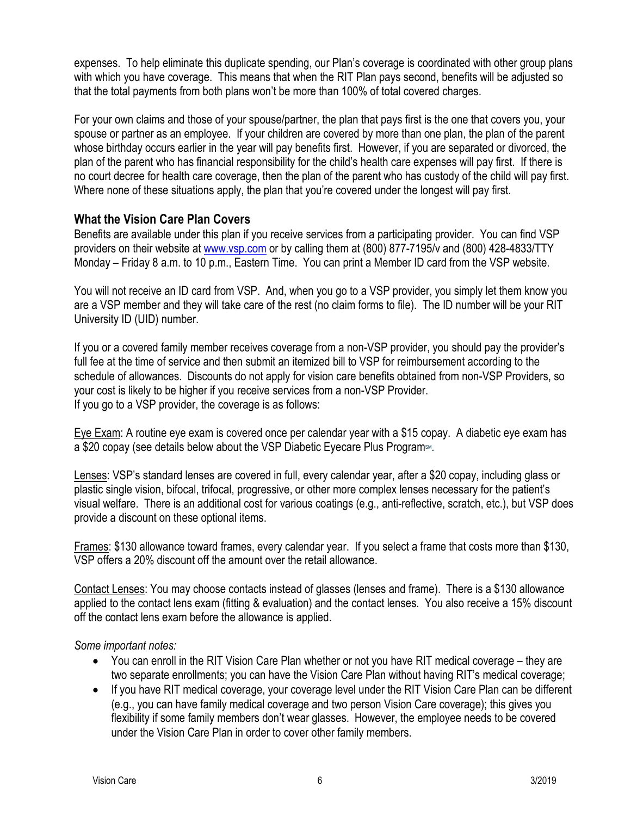expenses. To help eliminate this duplicate spending, our Plan's coverage is coordinated with other group plans with which you have coverage. This means that when the RIT Plan pays second, benefits will be adjusted so that the total payments from both plans won't be more than 100% of total covered charges.

For your own claims and those of your spouse/partner, the plan that pays first is the one that covers you, your spouse or partner as an employee. If your children are covered by more than one plan, the plan of the parent whose birthday occurs earlier in the year will pay benefits first. However, if you are separated or divorced, the plan of the parent who has financial responsibility for the child's health care expenses will pay first. If there is no court decree for health care coverage, then the plan of the parent who has custody of the child will pay first. Where none of these situations apply, the plan that you're covered under the longest will pay first.

# <span id="page-5-0"></span>**What the Vision Care Plan Covers**

Benefits are available under this plan if you receive services from a participating provider. You can find VSP providers on their website at [www.vsp.com](http://www.vsp.com/) or by calling them at (800) 877-7195/v and (800) 428-4833/TTY Monday – Friday 8 a.m. to 10 p.m., Eastern Time. You can print a Member ID card from the VSP website.

You will not receive an ID card from VSP. And, when you go to a VSP provider, you simply let them know you are a VSP member and they will take care of the rest (no claim forms to file). The ID number will be your RIT University ID (UID) number.

If you or a covered family member receives coverage from a non-VSP provider, you should pay the provider's full fee at the time of service and then submit an itemized bill to VSP for reimbursement according to the schedule of allowances. Discounts do not apply for vision care benefits obtained from non-VSP Providers, so your cost is likely to be higher if you receive services from a non-VSP Provider. If you go to a VSP provider, the coverage is as follows:

Eye Exam: A routine eye exam is covered once per calendar year with a \$15 copay. A diabetic eye exam has a \$20 copay (see details below about the VSP Diabetic Eyecare Plus Program<sup>SM</sup>.

Lenses: VSP's standard lenses are covered in full, every calendar year, after a \$20 copay, including glass or plastic single vision, bifocal, trifocal, progressive, or other more complex lenses necessary for the patient's visual welfare. There is an additional cost for various coatings (e.g., anti-reflective, scratch, etc.), but VSP does provide a discount on these optional items.

Frames: \$130 allowance toward frames, every calendar year. If you select a frame that costs more than \$130, VSP offers a 20% discount off the amount over the retail allowance.

Contact Lenses: You may choose contacts instead of glasses (lenses and frame). There is a \$130 allowance applied to the contact lens exam (fitting & evaluation) and the contact lenses. You also receive a 15% discount off the contact lens exam before the allowance is applied.

*Some important notes:*

- You can enroll in the RIT Vision Care Plan whether or not you have RIT medical coverage they are two separate enrollments; you can have the Vision Care Plan without having RIT's medical coverage;
- If you have RIT medical coverage, your coverage level under the RIT Vision Care Plan can be different (e.g., you can have family medical coverage and two person Vision Care coverage); this gives you flexibility if some family members don't wear glasses. However, the employee needs to be covered under the Vision Care Plan in order to cover other family members.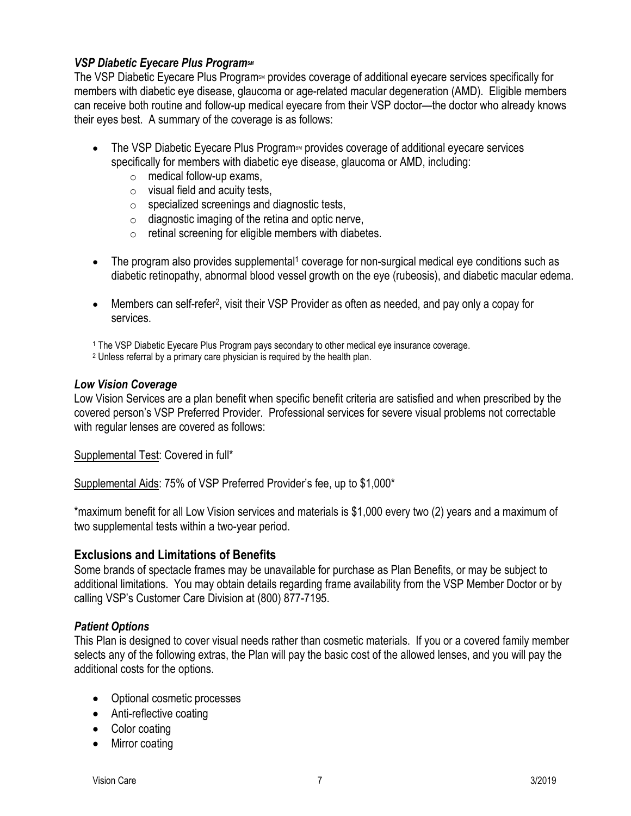# <span id="page-6-0"></span>*VSP Diabetic Eyecare Plus ProgramSM*

The VSP Diabetic Eyecare Plus Program<sup>sM</sup> provides coverage of additional eyecare services specifically for members with diabetic eye disease, glaucoma or age-related macular degeneration (AMD). Eligible members can receive both routine and follow-up medical eyecare from their VSP doctor—the doctor who already knows their eyes best. A summary of the coverage is as follows:

- The VSP Diabetic Eyecare Plus Program<sup>SM</sup> provides coverage of additional eyecare services specifically for members with diabetic eye disease, glaucoma or AMD, including:
	- $\circ$  medical follow-up exams,
	- $\circ$  visual field and acuity tests,
	- o specialized screenings and diagnostic tests,
	- $\circ$  diagnostic imaging of the retina and optic nerve,
	- $\circ$  retinal screening for eligible members with diabetes.
- The program also provides supplemental<sup>1</sup> coverage for non-surgical medical eye conditions such as diabetic retinopathy, abnormal blood vessel growth on the eye (rubeosis), and diabetic macular edema.
- Members can self-refer<sup>2</sup>, visit their VSP Provider as often as needed, and pay only a copay for services.
- <sup>1</sup> The VSP Diabetic Eyecare Plus Program pays secondary to other medical eye insurance coverage.
- <sup>2</sup> Unless referral by a primary care physician is required by the health plan.

#### <span id="page-6-1"></span>*Low Vision Coverage*

Low Vision Services are a plan benefit when specific benefit criteria are satisfied and when prescribed by the covered person's VSP Preferred Provider. Professional services for severe visual problems not correctable with regular lenses are covered as follows:

Supplemental Test: Covered in full\*

Supplemental Aids: 75% of VSP Preferred Provider's fee, up to \$1,000\*

\*maximum benefit for all Low Vision services and materials is \$1,000 every two (2) years and a maximum of two supplemental tests within a two-year period.

# <span id="page-6-2"></span>**Exclusions and Limitations of Benefits**

Some brands of spectacle frames may be unavailable for purchase as Plan Benefits, or may be subject to additional limitations. You may obtain details regarding frame availability from the VSP Member Doctor or by calling VSP's Customer Care Division at (800) 877-7195.

# <span id="page-6-3"></span>*Patient Options*

This Plan is designed to cover visual needs rather than cosmetic materials. If you or a covered family member selects any of the following extras, the Plan will pay the basic cost of the allowed lenses, and you will pay the additional costs for the options.

- Optional cosmetic processes
- Anti-reflective coating
- Color coating
- Mirror coating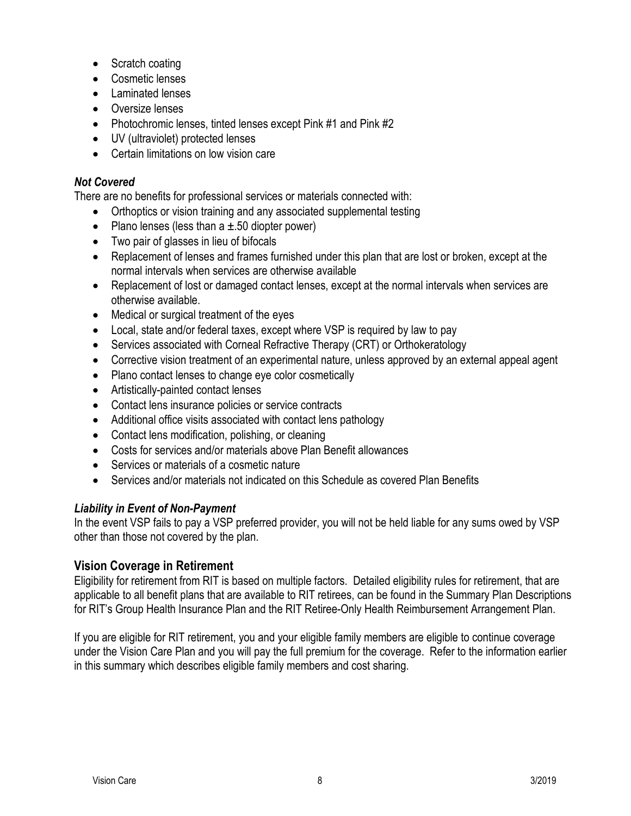- Scratch coating
- Cosmetic lenses
- Laminated lenses
- Oversize lenses
- Photochromic lenses, tinted lenses except Pink #1 and Pink #2
- UV (ultraviolet) protected lenses
- Certain limitations on low vision care

# <span id="page-7-0"></span>*Not Covered*

There are no benefits for professional services or materials connected with:

- Orthoptics or vision training and any associated supplemental testing
- Plano lenses (less than  $a \pm 0.50$  diopter power)
- Two pair of glasses in lieu of bifocals
- Replacement of lenses and frames furnished under this plan that are lost or broken, except at the normal intervals when services are otherwise available
- Replacement of lost or damaged contact lenses, except at the normal intervals when services are otherwise available.
- Medical or surgical treatment of the eyes
- Local, state and/or federal taxes, except where VSP is required by law to pay
- Services associated with Corneal Refractive Therapy (CRT) or Orthokeratology
- Corrective vision treatment of an experimental nature, unless approved by an external appeal agent
- Plano contact lenses to change eye color cosmetically
- Artistically-painted contact lenses
- Contact lens insurance policies or service contracts
- Additional office visits associated with contact lens pathology
- Contact lens modification, polishing, or cleaning
- Costs for services and/or materials above Plan Benefit allowances
- Services or materials of a cosmetic nature
- Services and/or materials not indicated on this Schedule as covered Plan Benefits

# <span id="page-7-1"></span>*Liability in Event of Non-Payment*

In the event VSP fails to pay a VSP preferred provider, you will not be held liable for any sums owed by VSP other than those not covered by the plan.

# <span id="page-7-2"></span>**Vision Coverage in Retirement**

Eligibility for retirement from RIT is based on multiple factors. Detailed eligibility rules for retirement, that are applicable to all benefit plans that are available to RIT retirees, can be found in the Summary Plan Descriptions for RIT's Group Health Insurance Plan and the RIT Retiree-Only Health Reimbursement Arrangement Plan.

If you are eligible for RIT retirement, you and your eligible family members are eligible to continue coverage under the Vision Care Plan and you will pay the full premium for the coverage. Refer to the information earlier in this summary which describes eligible family members and cost sharing.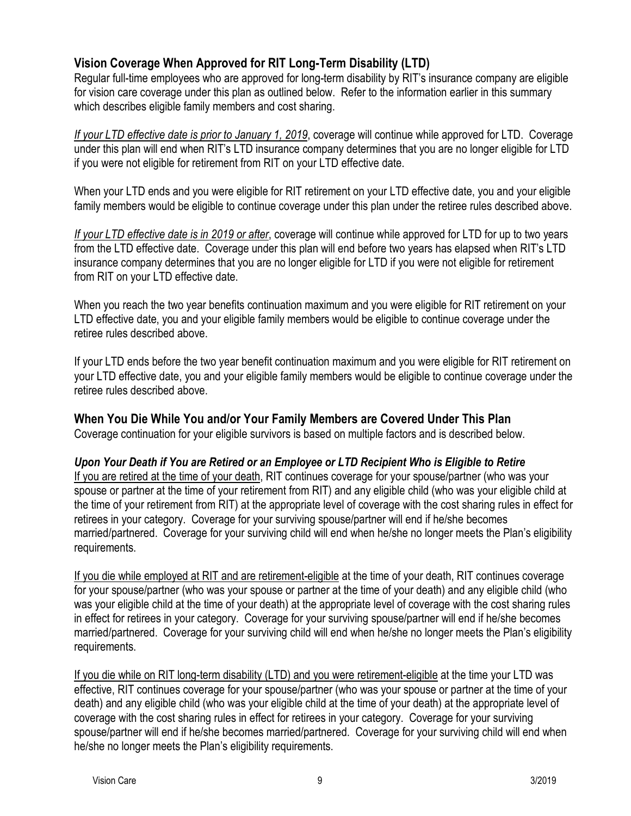# <span id="page-8-0"></span>**Vision Coverage When Approved for RIT Long-Term Disability (LTD)**

Regular full-time employees who are approved for long-term disability by RIT's insurance company are eligible for vision care coverage under this plan as outlined below. Refer to the information earlier in this summary which describes eligible family members and cost sharing.

*If your LTD effective date is prior to January 1, 2019*, coverage will continue while approved for LTD. Coverage under this plan will end when RIT's LTD insurance company determines that you are no longer eligible for LTD if you were not eligible for retirement from RIT on your LTD effective date.

When your LTD ends and you were eligible for RIT retirement on your LTD effective date, you and your eligible family members would be eligible to continue coverage under this plan under the retiree rules described above.

*If your LTD effective date is in 2019 or after*, coverage will continue while approved for LTD for up to two years from the LTD effective date. Coverage under this plan will end before two years has elapsed when RIT's LTD insurance company determines that you are no longer eligible for LTD if you were not eligible for retirement from RIT on your LTD effective date.

When you reach the two year benefits continuation maximum and you were eligible for RIT retirement on your LTD effective date, you and your eligible family members would be eligible to continue coverage under the retiree rules described above.

If your LTD ends before the two year benefit continuation maximum and you were eligible for RIT retirement on your LTD effective date, you and your eligible family members would be eligible to continue coverage under the retiree rules described above.

# <span id="page-8-1"></span>**When You Die While You and/or Your Family Members are Covered Under This Plan**

Coverage continuation for your eligible survivors is based on multiple factors and is described below.

# <span id="page-8-2"></span>*Upon Your Death if You are Retired or an Employee or LTD Recipient Who is Eligible to Retire*

If you are retired at the time of your death, RIT continues coverage for your spouse/partner (who was your spouse or partner at the time of your retirement from RIT) and any eligible child (who was your eligible child at the time of your retirement from RIT) at the appropriate level of coverage with the cost sharing rules in effect for retirees in your category. Coverage for your surviving spouse/partner will end if he/she becomes married/partnered. Coverage for your surviving child will end when he/she no longer meets the Plan's eligibility requirements.

If you die while employed at RIT and are retirement-eligible at the time of your death, RIT continues coverage for your spouse/partner (who was your spouse or partner at the time of your death) and any eligible child (who was your eligible child at the time of your death) at the appropriate level of coverage with the cost sharing rules in effect for retirees in your category. Coverage for your surviving spouse/partner will end if he/she becomes married/partnered. Coverage for your surviving child will end when he/she no longer meets the Plan's eligibility requirements.

If you die while on RIT long-term disability (LTD) and you were retirement-eligible at the time your LTD was effective, RIT continues coverage for your spouse/partner (who was your spouse or partner at the time of your death) and any eligible child (who was your eligible child at the time of your death) at the appropriate level of coverage with the cost sharing rules in effect for retirees in your category. Coverage for your surviving spouse/partner will end if he/she becomes married/partnered. Coverage for your surviving child will end when he/she no longer meets the Plan's eligibility requirements.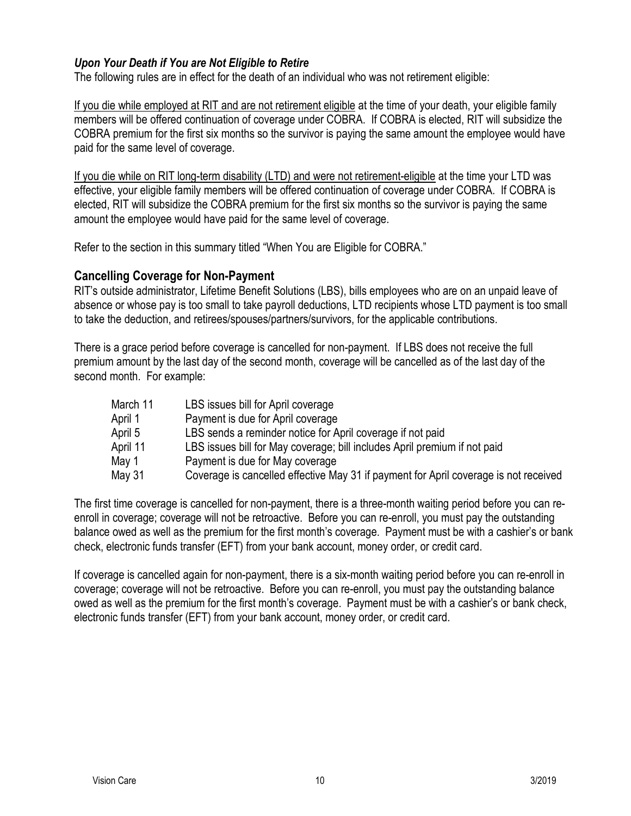# <span id="page-9-0"></span>*Upon Your Death if You are Not Eligible to Retire*

The following rules are in effect for the death of an individual who was not retirement eligible:

If you die while employed at RIT and are not retirement eligible at the time of your death, your eligible family members will be offered continuation of coverage under COBRA. If COBRA is elected, RIT will subsidize the COBRA premium for the first six months so the survivor is paying the same amount the employee would have paid for the same level of coverage.

If you die while on RIT long-term disability (LTD) and were not retirement-eligible at the time your LTD was effective, your eligible family members will be offered continuation of coverage under COBRA. If COBRA is elected, RIT will subsidize the COBRA premium for the first six months so the survivor is paying the same amount the employee would have paid for the same level of coverage.

Refer to the section in this summary titled "When You are Eligible for COBRA."

# <span id="page-9-1"></span>**Cancelling Coverage for Non-Payment**

RIT's outside administrator, Lifetime Benefit Solutions (LBS), bills employees who are on an unpaid leave of absence or whose pay is too small to take payroll deductions, LTD recipients whose LTD payment is too small to take the deduction, and retirees/spouses/partners/survivors, for the applicable contributions.

There is a grace period before coverage is cancelled for non-payment. If LBS does not receive the full premium amount by the last day of the second month, coverage will be cancelled as of the last day of the second month. For example:

| March 11 | LBS issues bill for April coverage                                                   |
|----------|--------------------------------------------------------------------------------------|
| April 1  | Payment is due for April coverage                                                    |
| April 5  | LBS sends a reminder notice for April coverage if not paid                           |
| April 11 | LBS issues bill for May coverage; bill includes April premium if not paid            |
| May 1    | Payment is due for May coverage                                                      |
| May 31   | Coverage is cancelled effective May 31 if payment for April coverage is not received |

The first time coverage is cancelled for non-payment, there is a three-month waiting period before you can reenroll in coverage; coverage will not be retroactive. Before you can re-enroll, you must pay the outstanding balance owed as well as the premium for the first month's coverage. Payment must be with a cashier's or bank check, electronic funds transfer (EFT) from your bank account, money order, or credit card.

If coverage is cancelled again for non-payment, there is a six-month waiting period before you can re-enroll in coverage; coverage will not be retroactive. Before you can re-enroll, you must pay the outstanding balance owed as well as the premium for the first month's coverage. Payment must be with a cashier's or bank check, electronic funds transfer (EFT) from your bank account, money order, or credit card.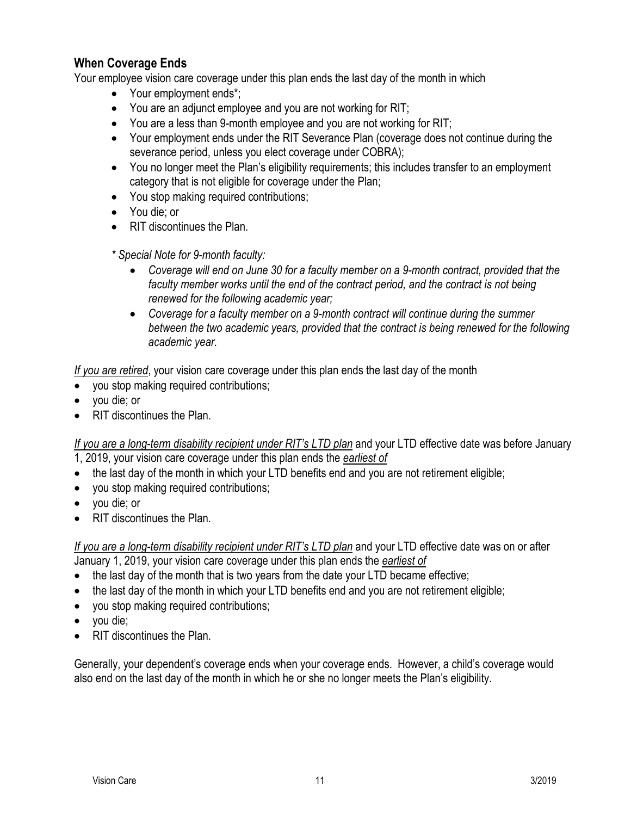# <span id="page-10-0"></span>**When Coverage Ends**

Your employee vision care coverage under this plan ends the last day of the month in which

- Your employment ends\*;
- You are an adjunct employee and you are not working for RIT;
- You are a less than 9-month employee and you are not working for RIT;
- Your employment ends under the RIT Severance Plan (coverage does not continue during the severance period, unless you elect coverage under COBRA);
- You no longer meet the Plan's eligibility requirements; this includes transfer to an employment category that is not eligible for coverage under the Plan;
- You stop making required contributions;
- You die; or
- RIT discontinues the Plan.
- *\* Special Note for 9-month faculty:*
	- *Coverage will end on June 30 for a faculty member on a 9-month contract, provided that the faculty member works until the end of the contract period, and the contract is not being renewed for the following academic year;*
	- *Coverage for a faculty member on a 9-month contract will continue during the summer between the two academic years, provided that the contract is being renewed for the following academic year.*

*If you are retired*, your vision care coverage under this plan ends the last day of the month

- you stop making required contributions;
- you die; or
- RIT discontinues the Plan.

*If you are a long-term disability recipient under RIT's LTD plan* and your LTD effective date was before January 1, 2019, your vision care coverage under this plan ends the *earliest of*

- the last day of the month in which your LTD benefits end and you are not retirement eligible;
- you stop making required contributions;
- you die; or
- RIT discontinues the Plan.

*If you are a long-term disability recipient under RIT's LTD plan* and your LTD effective date was on or after January 1, 2019, your vision care coverage under this plan ends the *earliest of*

- the last day of the month that is two years from the date your LTD became effective;
- the last day of the month in which your LTD benefits end and you are not retirement eligible;
- you stop making required contributions;
- you die;
- RIT discontinues the Plan.

Generally, your dependent's coverage ends when your coverage ends. However, a child's coverage would also end on the last day of the month in which he or she no longer meets the Plan's eligibility.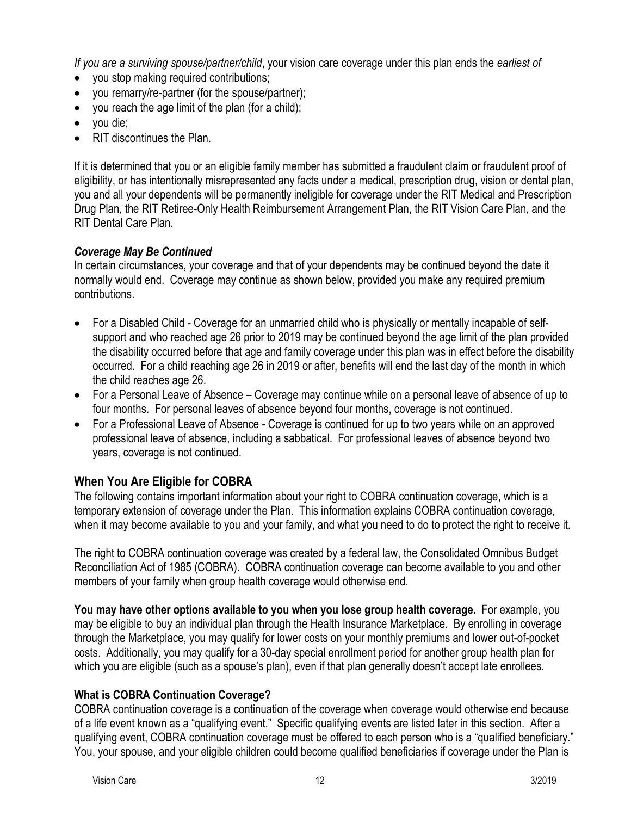*If you are a surviving spouse/partner/child*, your vision care coverage under this plan ends the *earliest of*

- you stop making required contributions;
- you remarry/re-partner (for the spouse/partner);
- you reach the age limit of the plan (for a child);
- you die;
- RIT discontinues the Plan.

If it is determined that you or an eligible family member has submitted a fraudulent claim or fraudulent proof of eligibility, or has intentionally misrepresented any facts under a medical, prescription drug, vision or dental plan, you and all your dependents will be permanently ineligible for coverage under the RIT Medical and Prescription Drug Plan, the RIT Retiree-Only Health Reimbursement Arrangement Plan, the RIT Vision Care Plan, and the RIT Dental Care Plan.

# <span id="page-11-0"></span>*Coverage May Be Continued*

In certain circumstances, your coverage and that of your dependents may be continued beyond the date it normally would end. Coverage may continue as shown below, provided you make any required premium contributions.

- For a Disabled Child Coverage for an unmarried child who is physically or mentally incapable of selfsupport and who reached age 26 prior to 2019 may be continued beyond the age limit of the plan provided the disability occurred before that age and family coverage under this plan was in effect before the disability occurred. For a child reaching age 26 in 2019 or after, benefits will end the last day of the month in which the child reaches age 26.
- For a Personal Leave of Absence Coverage may continue while on a personal leave of absence of up to four months. For personal leaves of absence beyond four months, coverage is not continued.
- For a Professional Leave of Absence Coverage is continued for up to two years while on an approved professional leave of absence, including a sabbatical. For professional leaves of absence beyond two years, coverage is not continued.

# <span id="page-11-1"></span>**When You Are Eligible for COBRA**

The following contains important information about your right to COBRA continuation coverage, which is a temporary extension of coverage under the Plan. This information explains COBRA continuation coverage, when it may become available to you and your family, and what you need to do to protect the right to receive it.

The right to COBRA continuation coverage was created by a federal law, the Consolidated Omnibus Budget Reconciliation Act of 1985 (COBRA). COBRA continuation coverage can become available to you and other members of your family when group health coverage would otherwise end.

**You may have other options available to you when you lose group health coverage.** For example, you may be eligible to buy an individual plan through the Health Insurance Marketplace. By enrolling in coverage through the Marketplace, you may qualify for lower costs on your monthly premiums and lower out-of-pocket costs. Additionally, you may qualify for a 30-day special enrollment period for another group health plan for which you are eligible (such as a spouse's plan), even if that plan generally doesn't accept late enrollees.

# **What is COBRA Continuation Coverage?**

COBRA continuation coverage is a continuation of the coverage when coverage would otherwise end because of a life event known as a "qualifying event." Specific qualifying events are listed later in this section. After a qualifying event, COBRA continuation coverage must be offered to each person who is a "qualified beneficiary." You, your spouse, and your eligible children could become qualified beneficiaries if coverage under the Plan is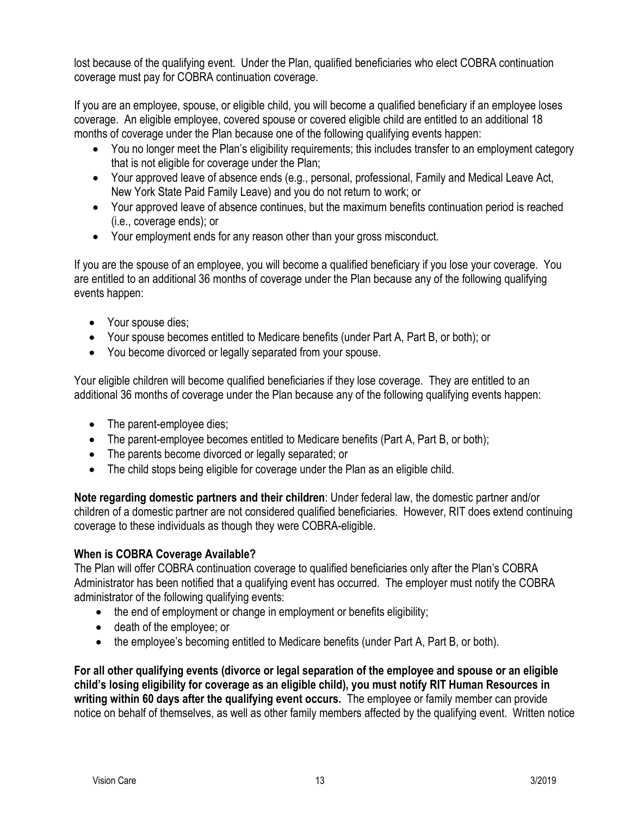lost because of the qualifying event. Under the Plan, qualified beneficiaries who elect COBRA continuation coverage must pay for COBRA continuation coverage.

If you are an employee, spouse, or eligible child, you will become a qualified beneficiary if an employee loses coverage. An eligible employee, covered spouse or covered eligible child are entitled to an additional 18 months of coverage under the Plan because one of the following qualifying events happen:

- You no longer meet the Plan's eligibility requirements; this includes transfer to an employment category that is not eligible for coverage under the Plan;
- Your approved leave of absence ends (e.g., personal, professional, Family and Medical Leave Act, New York State Paid Family Leave) and you do not return to work; or
- Your approved leave of absence continues, but the maximum benefits continuation period is reached (i.e., coverage ends); or
- Your employment ends for any reason other than your gross misconduct.

If you are the spouse of an employee, you will become a qualified beneficiary if you lose your coverage. You are entitled to an additional 36 months of coverage under the Plan because any of the following qualifying events happen:

- Your spouse dies;
- Your spouse becomes entitled to Medicare benefits (under Part A, Part B, or both); or
- You become divorced or legally separated from your spouse.

Your eligible children will become qualified beneficiaries if they lose coverage. They are entitled to an additional 36 months of coverage under the Plan because any of the following qualifying events happen:

- The parent-employee dies;
- The parent-employee becomes entitled to Medicare benefits (Part A, Part B, or both);
- The parents become divorced or legally separated; or
- The child stops being eligible for coverage under the Plan as an eligible child.

**Note regarding domestic partners and their children**: Under federal law, the domestic partner and/or children of a domestic partner are not considered qualified beneficiaries. However, RIT does extend continuing coverage to these individuals as though they were COBRA-eligible.

# **When is COBRA Coverage Available?**

The Plan will offer COBRA continuation coverage to qualified beneficiaries only after the Plan's COBRA Administrator has been notified that a qualifying event has occurred. The employer must notify the COBRA administrator of the following qualifying events:

- the end of employment or change in employment or benefits eligibility;
- death of the employee; or
- the employee's becoming entitled to Medicare benefits (under Part A, Part B, or both).

**For all other qualifying events (divorce or legal separation of the employee and spouse or an eligible child's losing eligibility for coverage as an eligible child), you must notify RIT Human Resources in writing within 60 days after the qualifying event occurs.** The employee or family member can provide notice on behalf of themselves, as well as other family members affected by the qualifying event. Written notice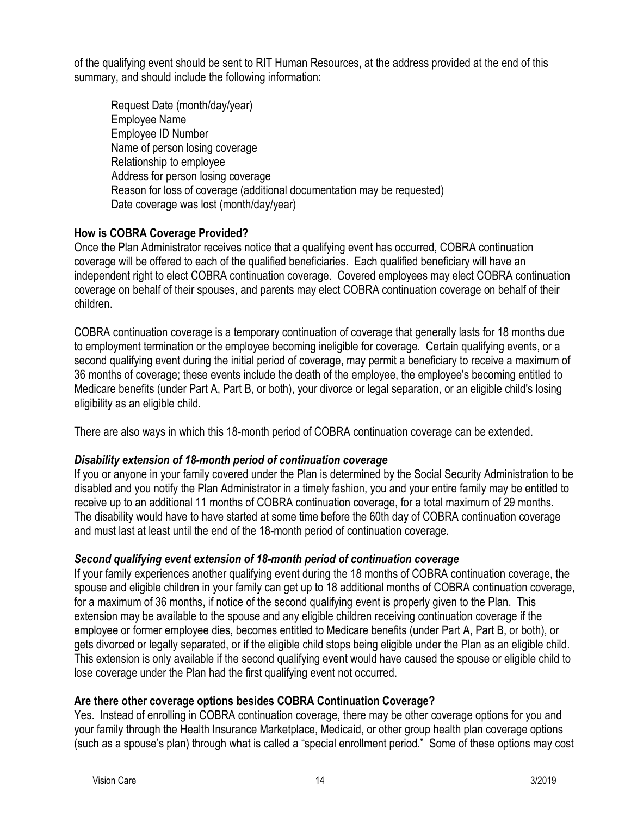of the qualifying event should be sent to RIT Human Resources, at the address provided at the end of this summary, and should include the following information:

Request Date (month/day/year) Employee Name Employee ID Number Name of person losing coverage Relationship to employee Address for person losing coverage Reason for loss of coverage (additional documentation may be requested) Date coverage was lost (month/day/year)

# **How is COBRA Coverage Provided?**

Once the Plan Administrator receives notice that a qualifying event has occurred, COBRA continuation coverage will be offered to each of the qualified beneficiaries. Each qualified beneficiary will have an independent right to elect COBRA continuation coverage. Covered employees may elect COBRA continuation coverage on behalf of their spouses, and parents may elect COBRA continuation coverage on behalf of their children.

COBRA continuation coverage is a temporary continuation of coverage that generally lasts for 18 months due to employment termination or the employee becoming ineligible for coverage. Certain qualifying events, or a second qualifying event during the initial period of coverage, may permit a beneficiary to receive a maximum of 36 months of coverage; these events include the death of the employee, the employee's becoming entitled to Medicare benefits (under Part A, Part B, or both), your divorce or legal separation, or an eligible child's losing eligibility as an eligible child.

There are also ways in which this 18-month period of COBRA continuation coverage can be extended.

# *Disability extension of 18-month period of continuation coverage*

If you or anyone in your family covered under the Plan is determined by the Social Security Administration to be disabled and you notify the Plan Administrator in a timely fashion, you and your entire family may be entitled to receive up to an additional 11 months of COBRA continuation coverage, for a total maximum of 29 months. The disability would have to have started at some time before the 60th day of COBRA continuation coverage and must last at least until the end of the 18-month period of continuation coverage.

# *Second qualifying event extension of 18-month period of continuation coverage*

If your family experiences another qualifying event during the 18 months of COBRA continuation coverage, the spouse and eligible children in your family can get up to 18 additional months of COBRA continuation coverage, for a maximum of 36 months, if notice of the second qualifying event is properly given to the Plan. This extension may be available to the spouse and any eligible children receiving continuation coverage if the employee or former employee dies, becomes entitled to Medicare benefits (under Part A, Part B, or both), or gets divorced or legally separated, or if the eligible child stops being eligible under the Plan as an eligible child. This extension is only available if the second qualifying event would have caused the spouse or eligible child to lose coverage under the Plan had the first qualifying event not occurred.

# **Are there other coverage options besides COBRA Continuation Coverage?**

Yes. Instead of enrolling in COBRA continuation coverage, there may be other coverage options for you and your family through the Health Insurance Marketplace, Medicaid, or other group health plan coverage options (such as a spouse's plan) through what is called a "special enrollment period." Some of these options may cost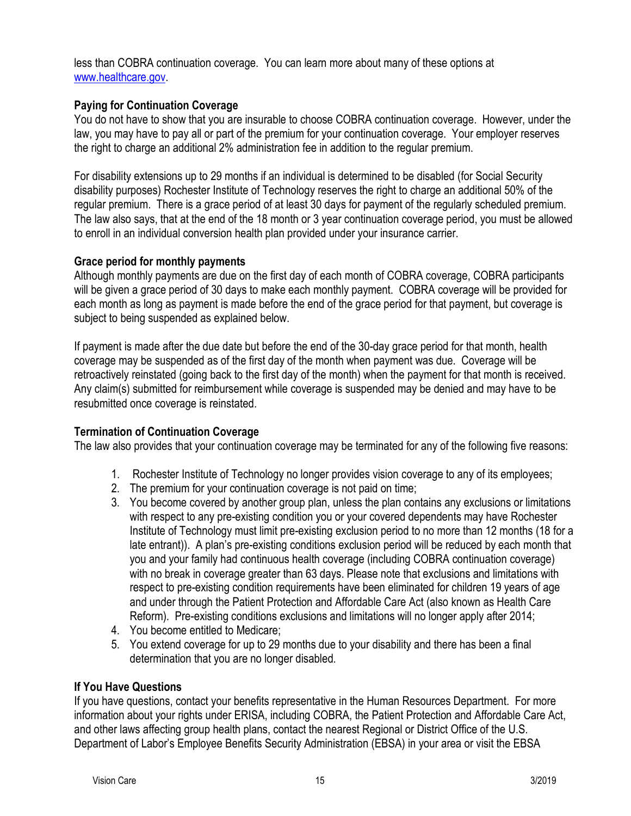less than COBRA continuation coverage. You can learn more about many of these options at [www.healthcare.gov.](http://www.healthcare.gov/)

# **Paying for Continuation Coverage**

You do not have to show that you are insurable to choose COBRA continuation coverage. However, under the law, you may have to pay all or part of the premium for your continuation coverage. Your employer reserves the right to charge an additional 2% administration fee in addition to the regular premium.

For disability extensions up to 29 months if an individual is determined to be disabled (for Social Security disability purposes) Rochester Institute of Technology reserves the right to charge an additional 50% of the regular premium. There is a grace period of at least 30 days for payment of the regularly scheduled premium. The law also says, that at the end of the 18 month or 3 year continuation coverage period, you must be allowed to enroll in an individual conversion health plan provided under your insurance carrier.

# **Grace period for monthly payments**

Although monthly payments are due on the first day of each month of COBRA coverage, COBRA participants will be given a grace period of 30 days to make each monthly payment. COBRA coverage will be provided for each month as long as payment is made before the end of the grace period for that payment, but coverage is subject to being suspended as explained below.

If payment is made after the due date but before the end of the 30-day grace period for that month, health coverage may be suspended as of the first day of the month when payment was due. Coverage will be retroactively reinstated (going back to the first day of the month) when the payment for that month is received. Any claim(s) submitted for reimbursement while coverage is suspended may be denied and may have to be resubmitted once coverage is reinstated.

# **Termination of Continuation Coverage**

The law also provides that your continuation coverage may be terminated for any of the following five reasons:

- 1. Rochester Institute of Technology no longer provides vision coverage to any of its employees;
- 2. The premium for your continuation coverage is not paid on time;
- 3. You become covered by another group plan, unless the plan contains any exclusions or limitations with respect to any pre-existing condition you or your covered dependents may have Rochester Institute of Technology must limit pre-existing exclusion period to no more than 12 months (18 for a late entrant)). A plan's pre-existing conditions exclusion period will be reduced by each month that you and your family had continuous health coverage (including COBRA continuation coverage) with no break in coverage greater than 63 days. Please note that exclusions and limitations with respect to pre-existing condition requirements have been eliminated for children 19 years of age and under through the Patient Protection and Affordable Care Act (also known as Health Care Reform). Pre-existing conditions exclusions and limitations will no longer apply after 2014;
- 4. You become entitled to Medicare;
- 5. You extend coverage for up to 29 months due to your disability and there has been a final determination that you are no longer disabled.

# **If You Have Questions**

If you have questions, contact your benefits representative in the Human Resources Department. For more information about your rights under ERISA, including COBRA, the Patient Protection and Affordable Care Act, and other laws affecting group health plans, contact the nearest Regional or District Office of the U.S. Department of Labor's Employee Benefits Security Administration (EBSA) in your area or visit the EBSA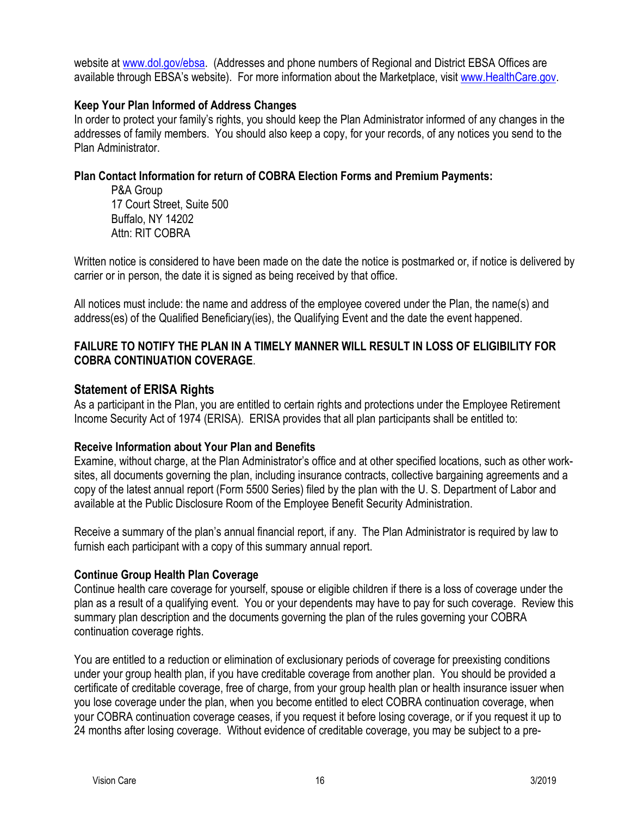website at [www.dol.gov/ebsa.](http://www.dol.gov/ebsa) (Addresses and phone numbers of Regional and District EBSA Offices are available through EBSA's website). For more information about the Marketplace, visit [www.HealthCare.gov.](http://www.healthcare.gov/)

# **Keep Your Plan Informed of Address Changes**

In order to protect your family's rights, you should keep the Plan Administrator informed of any changes in the addresses of family members.You should also keep a copy, for your records, of any notices you send to the Plan Administrator.

# **Plan Contact Information for return of COBRA Election Forms and Premium Payments:**

P&A Group 17 Court Street, Suite 500 Buffalo, NY 14202 Attn: RIT COBRA

Written notice is considered to have been made on the date the notice is postmarked or, if notice is delivered by carrier or in person, the date it is signed as being received by that office.

All notices must include: the name and address of the employee covered under the Plan, the name(s) and address(es) of the Qualified Beneficiary(ies), the Qualifying Event and the date the event happened.

# **FAILURE TO NOTIFY THE PLAN IN A TIMELY MANNER WILL RESULT IN LOSS OF ELIGIBILITY FOR COBRA CONTINUATION COVERAGE**.

# <span id="page-15-0"></span>**Statement of ERISA Rights**

As a participant in the Plan, you are entitled to certain rights and protections under the Employee Retirement Income Security Act of 1974 (ERISA). ERISA provides that all plan participants shall be entitled to:

# **Receive Information about Your Plan and Benefits**

Examine, without charge, at the Plan Administrator's office and at other specified locations, such as other worksites, all documents governing the plan, including insurance contracts, collective bargaining agreements and a copy of the latest annual report (Form 5500 Series) filed by the plan with the U. S. Department of Labor and available at the Public Disclosure Room of the Employee Benefit Security Administration.

Receive a summary of the plan's annual financial report, if any. The Plan Administrator is required by law to furnish each participant with a copy of this summary annual report.

# **Continue Group Health Plan Coverage**

Continue health care coverage for yourself, spouse or eligible children if there is a loss of coverage under the plan as a result of a qualifying event. You or your dependents may have to pay for such coverage. Review this summary plan description and the documents governing the plan of the rules governing your COBRA continuation coverage rights.

You are entitled to a reduction or elimination of exclusionary periods of coverage for preexisting conditions under your group health plan, if you have creditable coverage from another plan. You should be provided a certificate of creditable coverage, free of charge, from your group health plan or health insurance issuer when you lose coverage under the plan, when you become entitled to elect COBRA continuation coverage, when your COBRA continuation coverage ceases, if you request it before losing coverage, or if you request it up to 24 months after losing coverage. Without evidence of creditable coverage, you may be subject to a pre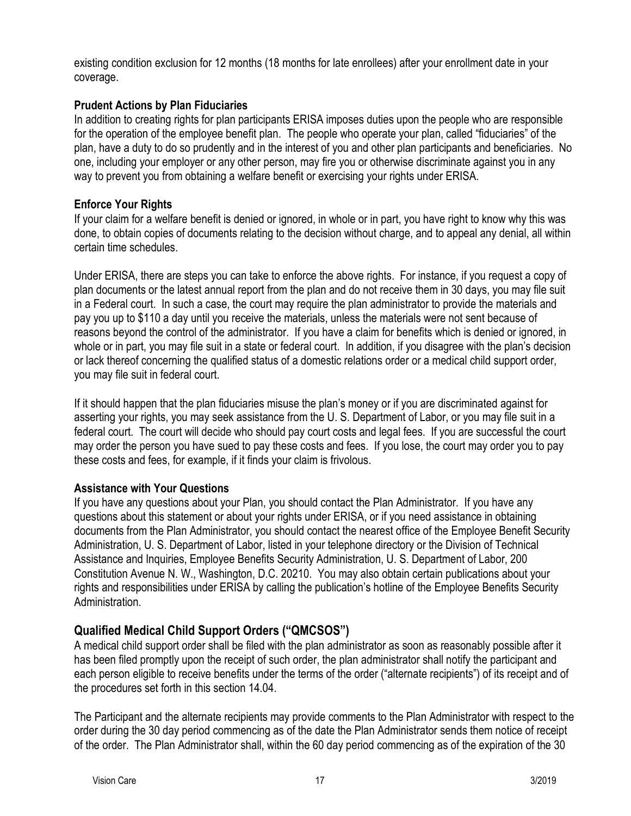existing condition exclusion for 12 months (18 months for late enrollees) after your enrollment date in your coverage.

# **Prudent Actions by Plan Fiduciaries**

In addition to creating rights for plan participants ERISA imposes duties upon the people who are responsible for the operation of the employee benefit plan. The people who operate your plan, called "fiduciaries" of the plan, have a duty to do so prudently and in the interest of you and other plan participants and beneficiaries. No one, including your employer or any other person, may fire you or otherwise discriminate against you in any way to prevent you from obtaining a welfare benefit or exercising your rights under ERISA.

# **Enforce Your Rights**

If your claim for a welfare benefit is denied or ignored, in whole or in part, you have right to know why this was done, to obtain copies of documents relating to the decision without charge, and to appeal any denial, all within certain time schedules.

Under ERISA, there are steps you can take to enforce the above rights. For instance, if you request a copy of plan documents or the latest annual report from the plan and do not receive them in 30 days, you may file suit in a Federal court. In such a case, the court may require the plan administrator to provide the materials and pay you up to \$110 a day until you receive the materials, unless the materials were not sent because of reasons beyond the control of the administrator. If you have a claim for benefits which is denied or ignored, in whole or in part, you may file suit in a state or federal court. In addition, if you disagree with the plan's decision or lack thereof concerning the qualified status of a domestic relations order or a medical child support order, you may file suit in federal court.

If it should happen that the plan fiduciaries misuse the plan's money or if you are discriminated against for asserting your rights, you may seek assistance from the U. S. Department of Labor, or you may file suit in a federal court. The court will decide who should pay court costs and legal fees. If you are successful the court may order the person you have sued to pay these costs and fees. If you lose, the court may order you to pay these costs and fees, for example, if it finds your claim is frivolous.

# **Assistance with Your Questions**

If you have any questions about your Plan, you should contact the Plan Administrator. If you have any questions about this statement or about your rights under ERISA, or if you need assistance in obtaining documents from the Plan Administrator, you should contact the nearest office of the Employee Benefit Security Administration, U. S. Department of Labor, listed in your telephone directory or the Division of Technical Assistance and Inquiries, Employee Benefits Security Administration, U. S. Department of Labor, 200 Constitution Avenue N. W., Washington, D.C. 20210. You may also obtain certain publications about your rights and responsibilities under ERISA by calling the publication's hotline of the Employee Benefits Security Administration.

# <span id="page-16-0"></span>**Qualified Medical Child Support Orders ("QMCSOS")**

A medical child support order shall be filed with the plan administrator as soon as reasonably possible after it has been filed promptly upon the receipt of such order, the plan administrator shall notify the participant and each person eligible to receive benefits under the terms of the order ("alternate recipients") of its receipt and of the procedures set forth in this section 14.04.

The Participant and the alternate recipients may provide comments to the Plan Administrator with respect to the order during the 30 day period commencing as of the date the Plan Administrator sends them notice of receipt of the order. The Plan Administrator shall, within the 60 day period commencing as of the expiration of the 30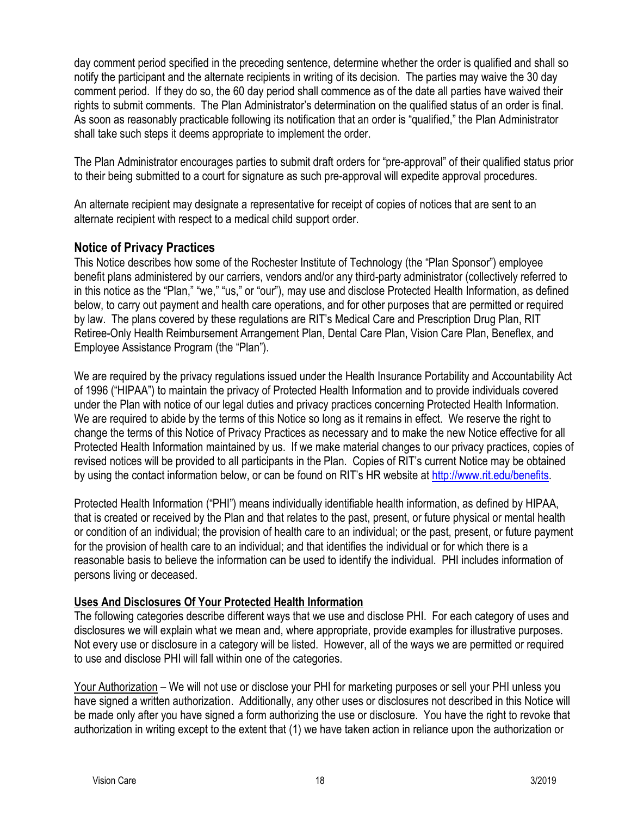day comment period specified in the preceding sentence, determine whether the order is qualified and shall so notify the participant and the alternate recipients in writing of its decision. The parties may waive the 30 day comment period. If they do so, the 60 day period shall commence as of the date all parties have waived their rights to submit comments. The Plan Administrator's determination on the qualified status of an order is final. As soon as reasonably practicable following its notification that an order is "qualified," the Plan Administrator shall take such steps it deems appropriate to implement the order.

The Plan Administrator encourages parties to submit draft orders for "pre-approval" of their qualified status prior to their being submitted to a court for signature as such pre-approval will expedite approval procedures.

An alternate recipient may designate a representative for receipt of copies of notices that are sent to an alternate recipient with respect to a medical child support order.

# <span id="page-17-0"></span>**Notice of Privacy Practices**

This Notice describes how some of the Rochester Institute of Technology (the "Plan Sponsor") employee benefit plans administered by our carriers, vendors and/or any third-party administrator (collectively referred to in this notice as the "Plan," "we," "us," or "our"), may use and disclose Protected Health Information, as defined below, to carry out payment and health care operations, and for other purposes that are permitted or required by law. The plans covered by these regulations are RIT's Medical Care and Prescription Drug Plan, RIT Retiree-Only Health Reimbursement Arrangement Plan, Dental Care Plan, Vision Care Plan, Beneflex, and Employee Assistance Program (the "Plan").

We are required by the privacy regulations issued under the Health Insurance Portability and Accountability Act of 1996 ("HIPAA") to maintain the privacy of Protected Health Information and to provide individuals covered under the Plan with notice of our legal duties and privacy practices concerning Protected Health Information. We are required to abide by the terms of this Notice so long as it remains in effect. We reserve the right to change the terms of this Notice of Privacy Practices as necessary and to make the new Notice effective for all Protected Health Information maintained by us. If we make material changes to our privacy practices, copies of revised notices will be provided to all participants in the Plan. Copies of RIT's current Notice may be obtained by using the contact information below, or can be found on RIT's HR website at [http://www.rit.edu/benefits.](http://www.rit.edu/benefits)

Protected Health Information ("PHI") means individually identifiable health information, as defined by HIPAA, that is created or received by the Plan and that relates to the past, present, or future physical or mental health or condition of an individual; the provision of health care to an individual; or the past, present, or future payment for the provision of health care to an individual; and that identifies the individual or for which there is a reasonable basis to believe the information can be used to identify the individual. PHI includes information of persons living or deceased.

# **Uses And Disclosures Of Your Protected Health Information**

The following categories describe different ways that we use and disclose PHI. For each category of uses and disclosures we will explain what we mean and, where appropriate, provide examples for illustrative purposes. Not every use or disclosure in a category will be listed. However, all of the ways we are permitted or required to use and disclose PHI will fall within one of the categories.

Your Authorization – We will not use or disclose your PHI for marketing purposes or sell your PHI unless you have signed a written authorization. Additionally, any other uses or disclosures not described in this Notice will be made only after you have signed a form authorizing the use or disclosure. You have the right to revoke that authorization in writing except to the extent that (1) we have taken action in reliance upon the authorization or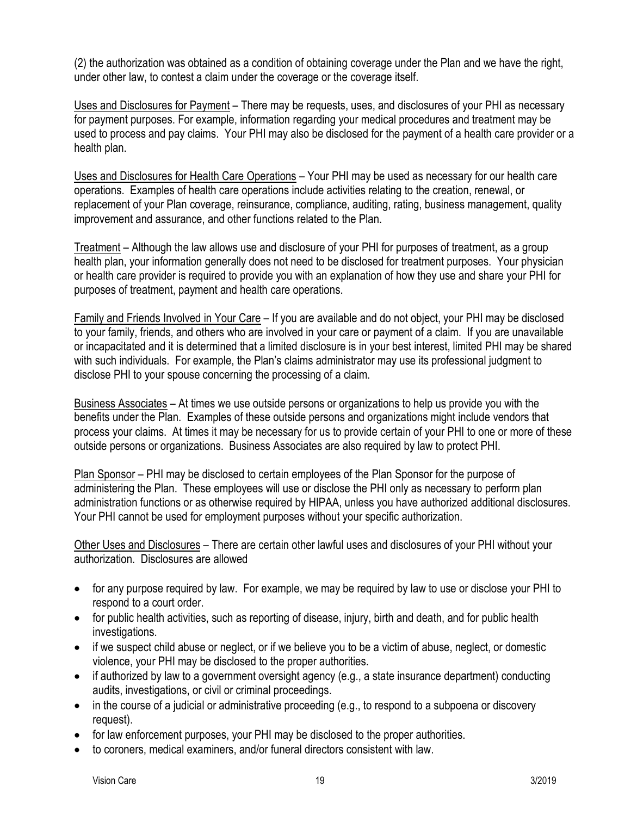(2) the authorization was obtained as a condition of obtaining coverage under the Plan and we have the right, under other law, to contest a claim under the coverage or the coverage itself.

Uses and Disclosures for Payment – There may be requests, uses, and disclosures of your PHI as necessary for payment purposes. For example, information regarding your medical procedures and treatment may be used to process and pay claims. Your PHI may also be disclosed for the payment of a health care provider or a health plan.

Uses and Disclosures for Health Care Operations – Your PHI may be used as necessary for our health care operations. Examples of health care operations include activities relating to the creation, renewal, or replacement of your Plan coverage, reinsurance, compliance, auditing, rating, business management, quality improvement and assurance, and other functions related to the Plan.

Treatment – Although the law allows use and disclosure of your PHI for purposes of treatment, as a group health plan, your information generally does not need to be disclosed for treatment purposes. Your physician or health care provider is required to provide you with an explanation of how they use and share your PHI for purposes of treatment, payment and health care operations.

Family and Friends Involved in Your Care – If you are available and do not object, your PHI may be disclosed to your family, friends, and others who are involved in your care or payment of a claim. If you are unavailable or incapacitated and it is determined that a limited disclosure is in your best interest, limited PHI may be shared with such individuals. For example, the Plan's claims administrator may use its professional judgment to disclose PHI to your spouse concerning the processing of a claim.

Business Associates – At times we use outside persons or organizations to help us provide you with the benefits under the Plan. Examples of these outside persons and organizations might include vendors that process your claims. At times it may be necessary for us to provide certain of your PHI to one or more of these outside persons or organizations. Business Associates are also required by law to protect PHI.

Plan Sponsor – PHI may be disclosed to certain employees of the Plan Sponsor for the purpose of administering the Plan. These employees will use or disclose the PHI only as necessary to perform plan administration functions or as otherwise required by HIPAA, unless you have authorized additional disclosures. Your PHI cannot be used for employment purposes without your specific authorization.

Other Uses and Disclosures – There are certain other lawful uses and disclosures of your PHI without your authorization. Disclosures are allowed

- for any purpose required by law. For example, we may be required by law to use or disclose your PHI to respond to a court order.
- for public health activities, such as reporting of disease, injury, birth and death, and for public health investigations.
- if we suspect child abuse or neglect, or if we believe you to be a victim of abuse, neglect, or domestic violence, your PHI may be disclosed to the proper authorities.
- if authorized by law to a government oversight agency (e.g., a state insurance department) conducting audits, investigations, or civil or criminal proceedings.
- in the course of a judicial or administrative proceeding (e.g., to respond to a subpoena or discovery request).
- for law enforcement purposes, your PHI may be disclosed to the proper authorities.
- to coroners, medical examiners, and/or funeral directors consistent with law.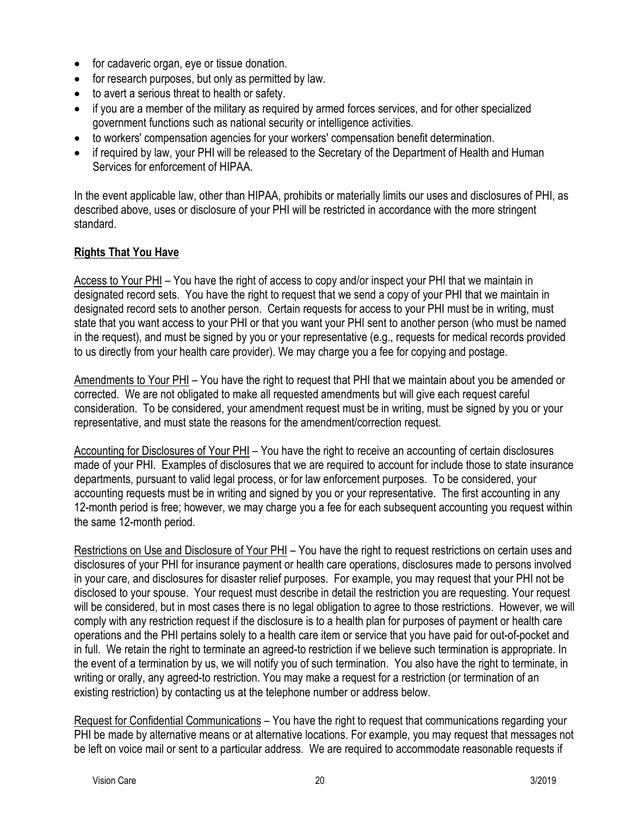- for cadaveric organ, eye or tissue donation.
- for research purposes, but only as permitted by law.
- to avert a serious threat to health or safety.
- if you are a member of the military as required by armed forces services, and for other specialized government functions such as national security or intelligence activities.
- to workers' compensation agencies for your workers' compensation benefit determination.
- if required by law, your PHI will be released to the Secretary of the Department of Health and Human Services for enforcement of HIPAA.

In the event applicable law, other than HIPAA, prohibits or materially limits our uses and disclosures of PHI, as described above, uses or disclosure of your PHI will be restricted in accordance with the more stringent standard.

# **Rights That You Have**

Access to Your PHI – You have the right of access to copy and/or inspect your PHI that we maintain in designated record sets. You have the right to request that we send a copy of your PHI that we maintain in designated record sets to another person. Certain requests for access to your PHI must be in writing, must state that you want access to your PHI or that you want your PHI sent to another person (who must be named in the request), and must be signed by you or your representative (e.g., requests for medical records provided to us directly from your health care provider). We may charge you a fee for copying and postage.

Amendments to Your PHI - You have the right to request that PHI that we maintain about you be amended or corrected. We are not obligated to make all requested amendments but will give each request careful consideration. To be considered, your amendment request must be in writing, must be signed by you or your representative, and must state the reasons for the amendment/correction request.

Accounting for Disclosures of Your PHI – You have the right to receive an accounting of certain disclosures made of your PHI. Examples of disclosures that we are required to account for include those to state insurance departments, pursuant to valid legal process, or for law enforcement purposes. To be considered, your accounting requests must be in writing and signed by you or your representative. The first accounting in any 12-month period is free; however, we may charge you a fee for each subsequent accounting you request within the same 12-month period.

Restrictions on Use and Disclosure of Your PHI – You have the right to request restrictions on certain uses and disclosures of your PHI for insurance payment or health care operations, disclosures made to persons involved in your care, and disclosures for disaster relief purposes. For example, you may request that your PHI not be disclosed to your spouse. Your request must describe in detail the restriction you are requesting. Your request will be considered, but in most cases there is no legal obligation to agree to those restrictions. However, we will comply with any restriction request if the disclosure is to a health plan for purposes of payment or health care operations and the PHI pertains solely to a health care item or service that you have paid for out-of-pocket and in full. We retain the right to terminate an agreed-to restriction if we believe such termination is appropriate. In the event of a termination by us, we will notify you of such termination. You also have the right to terminate, in writing or orally, any agreed-to restriction. You may make a request for a restriction (or termination of an existing restriction) by contacting us at the telephone number or address below.

Request for Confidential Communications – You have the right to request that communications regarding your PHI be made by alternative means or at alternative locations. For example, you may request that messages not be left on voice mail or sent to a particular address. We are required to accommodate reasonable requests if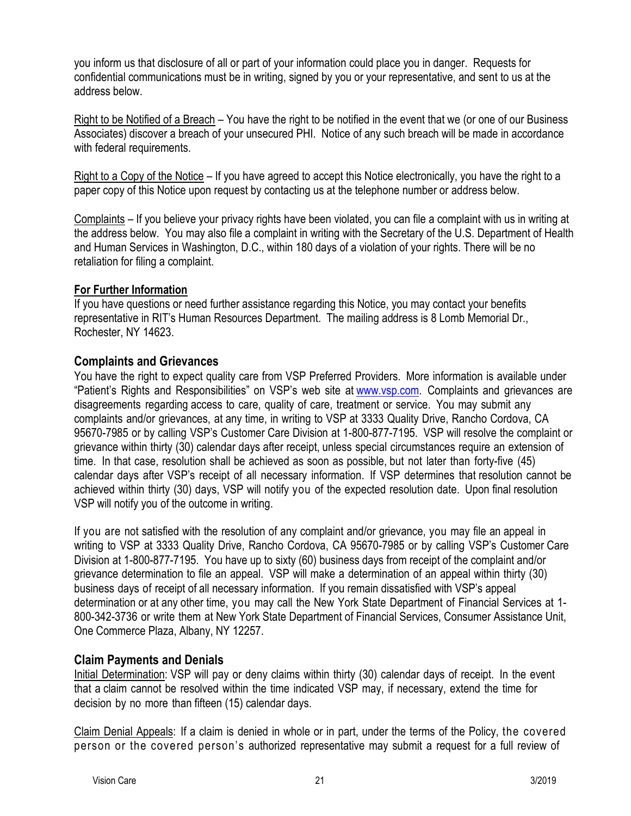you inform us that disclosure of all or part of your information could place you in danger. Requests for confidential communications must be in writing, signed by you or your representative, and sent to us at the address below.

Right to be Notified of a Breach – You have the right to be notified in the event that we (or one of our Business Associates) discover a breach of your unsecured PHI. Notice of any such breach will be made in accordance with federal requirements.

Right to a Copy of the Notice – If you have agreed to accept this Notice electronically, you have the right to a paper copy of this Notice upon request by contacting us at the telephone number or address below.

Complaints – If you believe your privacy rights have been violated, you can file a complaint with us in writing at the address below. You may also file a complaint in writing with the Secretary of the U.S. Department of Health and Human Services in Washington, D.C., within 180 days of a violation of your rights. There will be no retaliation for filing a complaint.

# **For Further Information**

If you have questions or need further assistance regarding this Notice, you may contact your benefits representative in RIT's Human Resources Department. The mailing address is 8 Lomb Memorial Dr., Rochester, NY 14623.

# <span id="page-20-0"></span>**Complaints and Grievances**

You have the right to expect quality care from VSP Preferred Providers. More information is available under "Patient's Rights and Responsibilities" on VSP's web site at [www.vsp.com.](http://www.vsp.com/) Complaints and grievances are disagreements regarding access to care, quality of care, treatment or service. You may submit any complaints and/or grievances, at any time, in writing to VSP at 3333 Quality Drive, Rancho Cordova, CA 95670-7985 or by calling VSP's Customer Care Division at 1-800-877-7195. VSP will resolve the complaint or grievance within thirty (30) calendar days after receipt, unless special circumstances require an extension of time. In that case, resolution shall be achieved as soon as possible, but not later than forty-five (45) calendar days after VSP's receipt of all necessary information. If VSP determines that resolution cannot be achieved within thirty (30) days, VSP will notify you of the expected resolution date. Upon final resolution VSP will notify you of the outcome in writing.

If you are not satisfied with the resolution of any complaint and/or grievance, you may file an appeal in writing to VSP at 3333 Quality Drive, Rancho Cordova, CA 95670-7985 or by calling VSP's Customer Care Division at 1-800-877-7195. You have up to sixty (60) business days from receipt of the complaint and/or grievance determination to file an appeal. VSP will make a determination of an appeal within thirty (30) business days of receipt of all necessary information. If you remain dissatisfied with VSP's appeal determination or at any other time, you may call the New York State Department of Financial Services at 1- 800-342-3736 or write them at New York State Department of Financial Services, Consumer Assistance Unit, One Commerce Plaza, Albany, NY 12257.

# <span id="page-20-1"></span>**Claim Payments and Denials**

Initial Determination: VSP will pay or deny claims within thirty (30) calendar days of receipt. In the event that a claim cannot be resolved within the time indicated VSP may, if necessary, extend the time for decision by no more than fifteen (15) calendar days.

Claim Denial Appeals: If a claim is denied in whole or in part, under the terms of the Policy, the covered person or the covered person's authorized representative may submit a request for a full review of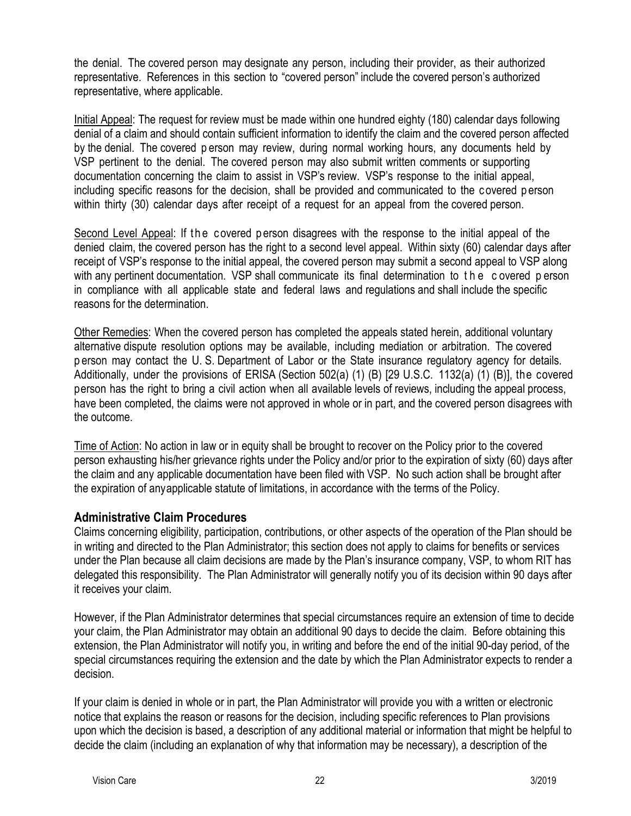the denial. The covered person may designate any person, including their provider, as their authorized representative. References in this section to "covered person" include the covered person's authorized representative, where applicable.

Initial Appeal: The request for review must be made within one hundred eighty (180) calendar days following denial of a claim and should contain sufficient information to identify the claim and the covered person affected by the denial. The covered p erson may review, during normal working hours, any documents held by VSP pertinent to the denial. The covered person may also submit written comments or supporting documentation concerning the claim to assist in VSP's review. VSP's response to the initial appeal, including specific reasons for the decision, shall be provided and communicated to the c overed p erson within thirty (30) calendar days after receipt of a request for an appeal from the covered person.

Second Level Appeal: If the covered person disagrees with the response to the initial appeal of the denied claim, the covered person has the right to a second level appeal. Within sixty (60) calendar days after receipt of VSP's response to the initial appeal, the covered person may submit a second appeal to VSP along with any pertinent documentation. VSP shall communicate its final determination to the covered person in compliance with all applicable state and federal laws and regulations and shall include the specific reasons for the determination.

Other Remedies: When the covered person has completed the appeals stated herein, additional voluntary alternative dispute resolution options may be available, including mediation or arbitration. The covered p erson may contact the U. S. Department of Labor or the State insurance regulatory agency for details. Additionally, under the provisions of ERISA (Section 502(a) (1) (B) [29 U.S.C. 1132(a) (1) (B)], the covered person has the right to bring a civil action when all available levels of reviews, including the appeal process, have been completed, the claims were not approved in whole or in part, and the covered person disagrees with the outcome.

Time of Action: No action in law or in equity shall be brought to recover on the Policy prior to the covered person exhausting his/her grievance rights under the Policy and/or prior to the expiration of sixty (60) days after the claim and any applicable documentation have been filed with VSP. No such action shall be brought after the expiration of anyapplicable statute of limitations, in accordance with the terms of the Policy.

# <span id="page-21-0"></span>**Administrative Claim Procedures**

Claims concerning eligibility, participation, contributions, or other aspects of the operation of the Plan should be in writing and directed to the Plan Administrator; this section does not apply to claims for benefits or services under the Plan because all claim decisions are made by the Plan's insurance company, VSP, to whom RIT has delegated this responsibility. The Plan Administrator will generally notify you of its decision within 90 days after it receives your claim.

However, if the Plan Administrator determines that special circumstances require an extension of time to decide your claim, the Plan Administrator may obtain an additional 90 days to decide the claim. Before obtaining this extension, the Plan Administrator will notify you, in writing and before the end of the initial 90-day period, of the special circumstances requiring the extension and the date by which the Plan Administrator expects to render a decision.

If your claim is denied in whole or in part, the Plan Administrator will provide you with a written or electronic notice that explains the reason or reasons for the decision, including specific references to Plan provisions upon which the decision is based, a description of any additional material or information that might be helpful to decide the claim (including an explanation of why that information may be necessary), a description of the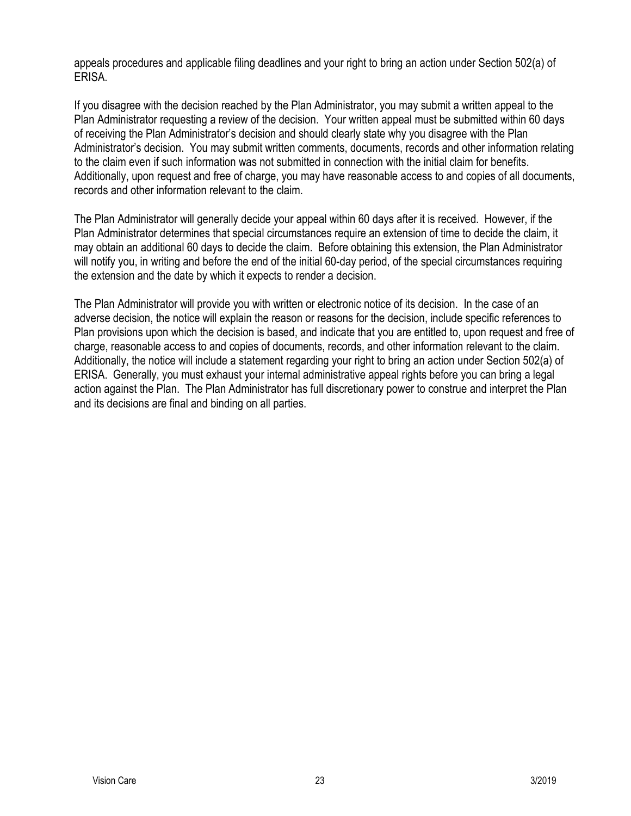appeals procedures and applicable filing deadlines and your right to bring an action under Section 502(a) of ERISA.

If you disagree with the decision reached by the Plan Administrator, you may submit a written appeal to the Plan Administrator requesting a review of the decision. Your written appeal must be submitted within 60 days of receiving the Plan Administrator's decision and should clearly state why you disagree with the Plan Administrator's decision. You may submit written comments, documents, records and other information relating to the claim even if such information was not submitted in connection with the initial claim for benefits. Additionally, upon request and free of charge, you may have reasonable access to and copies of all documents, records and other information relevant to the claim.

The Plan Administrator will generally decide your appeal within 60 days after it is received. However, if the Plan Administrator determines that special circumstances require an extension of time to decide the claim, it may obtain an additional 60 days to decide the claim. Before obtaining this extension, the Plan Administrator will notify you, in writing and before the end of the initial 60-day period, of the special circumstances requiring the extension and the date by which it expects to render a decision.

The Plan Administrator will provide you with written or electronic notice of its decision. In the case of an adverse decision, the notice will explain the reason or reasons for the decision, include specific references to Plan provisions upon which the decision is based, and indicate that you are entitled to, upon request and free of charge, reasonable access to and copies of documents, records, and other information relevant to the claim. Additionally, the notice will include a statement regarding your right to bring an action under Section 502(a) of ERISA. Generally, you must exhaust your internal administrative appeal rights before you can bring a legal action against the Plan. The Plan Administrator has full discretionary power to construe and interpret the Plan and its decisions are final and binding on all parties.